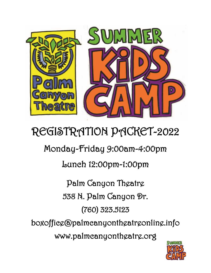

# REGISTRATION PACKET-2022

Monday-Friday 9:00am-4:00pm

Lunch 12:00pm-1:00pm

Palm Canyon Theatre 538 N. Palm Canyon Dr. (760) 323.5123

boxoffice@palmcanyontheatreonline.info www.palmcanyontheatre.org

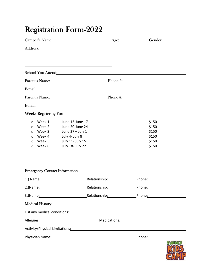## Registration Form-2022

| Camper's Name: Age: Gender: Gender:                                                                                                                                                                                            |                                      |                                                                                                                    |                             |                                                                                                                                                                                                                                     |         |
|--------------------------------------------------------------------------------------------------------------------------------------------------------------------------------------------------------------------------------|--------------------------------------|--------------------------------------------------------------------------------------------------------------------|-----------------------------|-------------------------------------------------------------------------------------------------------------------------------------------------------------------------------------------------------------------------------------|---------|
|                                                                                                                                                                                                                                |                                      | Address: 2008 and 2008 and 2008 and 2008 and 2008 and 2008 and 2008 and 2008 and 2008 and 2008 and 2008 and 20     |                             |                                                                                                                                                                                                                                     |         |
|                                                                                                                                                                                                                                |                                      |                                                                                                                    |                             |                                                                                                                                                                                                                                     |         |
|                                                                                                                                                                                                                                |                                      | School You Attend: Notice of the School You Attend:                                                                |                             |                                                                                                                                                                                                                                     |         |
|                                                                                                                                                                                                                                |                                      |                                                                                                                    |                             | Parent's Name: Phone #: Phone #:                                                                                                                                                                                                    |         |
|                                                                                                                                                                                                                                |                                      |                                                                                                                    |                             | E-mail: <u>E-mail:</u> and the contract of the contract of the contract of the contract of the contract of the contract of the contract of the contract of the contract of the contract of the contract of the contract of the cont |         |
|                                                                                                                                                                                                                                |                                      |                                                                                                                    |                             | Parent's Name: Phone #: Phone #:                                                                                                                                                                                                    |         |
| E-mail:                                                                                                                                                                                                                        |                                      |                                                                                                                    |                             | <u> 1989 - Johann Stoff, amerikansk politiker (d. 1989)</u>                                                                                                                                                                         |         |
| <b>Weeks Registering For:</b>                                                                                                                                                                                                  |                                      |                                                                                                                    |                             |                                                                                                                                                                                                                                     |         |
| Week 1<br>$\circ$<br>Week 2<br>O<br>Week 3<br>$\circ$<br>$\circ$<br>Week 5<br>$\circ$<br>Week 6<br>$\circ$                                                                                                                     | Week 4                               | June 13-June 17<br>June 20-June 24<br>June $27 -$ July 1<br>July 4- July 8<br>July 11- July 15<br>July 18- July 22 |                             | \$150<br>\$150<br>\$150<br>\$150<br>\$150<br>\$150                                                                                                                                                                                  |         |
|                                                                                                                                                                                                                                | <b>Emergency Contact Information</b> |                                                                                                                    |                             |                                                                                                                                                                                                                                     |         |
| 1.) Name: 1. 2010 1. 2010 1. 2010 1. 2010 1. 2010 1. 2010 1. 2010 1. 2010 1. 2010 1. 2010 1. 2010 1. 2010 1. 20                                                                                                                |                                      |                                                                                                                    | Relationship: Nelationship: | Phone: National Phone State State State State State State State State State State State State State State State State State State State State State State State State State State State State State State State State State St      |         |
|                                                                                                                                                                                                                                |                                      |                                                                                                                    |                             |                                                                                                                                                                                                                                     |         |
|                                                                                                                                                                                                                                |                                      |                                                                                                                    |                             |                                                                                                                                                                                                                                     |         |
| <b>Medical History</b>                                                                                                                                                                                                         |                                      |                                                                                                                    |                             |                                                                                                                                                                                                                                     |         |
|                                                                                                                                                                                                                                |                                      |                                                                                                                    |                             |                                                                                                                                                                                                                                     |         |
| Allergies: Medications: Medications: Medications: Medications: Medications: Medications: Medications: Medications: Medications: Medications: Medications: Medications: Medications: Medications: Medications: Medications: Med |                                      |                                                                                                                    |                             |                                                                                                                                                                                                                                     |         |
|                                                                                                                                                                                                                                |                                      |                                                                                                                    |                             | Activity/Physical Limitations: Manual Activity/Physical Limitations: Manual Activity/Physical Limitations:                                                                                                                          |         |
| Physician Name: 1997 - 2008 - 2019 - 2019 - 2019 - 2019 - 2019 - 2019 - 2019 - 2019 - 2019 - 2019 - 2019 - 201                                                                                                                 |                                      |                                                                                                                    |                             |                                                                                                                                                                                                                                     |         |
|                                                                                                                                                                                                                                |                                      |                                                                                                                    |                             |                                                                                                                                                                                                                                     | SMATMER |

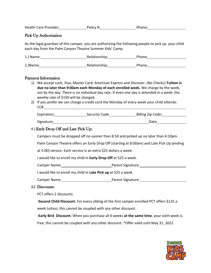| <b>Health Care Provider:</b> | Policy #: | Phone: |
|------------------------------|-----------|--------|
|                              |           |        |

#### Pick Up Authorization

As the legal guardian of this camper, you are authorizing the following people to pick up your child each day from the Palm Canyon Theatre Summer Kids' Camp.

| 1.) Name: | Relationship: | Phone: |
|-----------|---------------|--------|
| 2.)Name:  | Relationship: | Phone: |

### Payment Information

|    | 1) We accept cash, Visa, Master Card, American Express and Discover. (No Checks) Tuition is<br>due no later than 9:00am each Monday of each enrolled week. We charge by the week,<br>not by the day. There is no individual day rate. If even one day is attended in a week, the<br>weekly rate of \$150 will be charged. |                                                                                        |                                                                            |  |  |  |  |
|----|---------------------------------------------------------------------------------------------------------------------------------------------------------------------------------------------------------------------------------------------------------------------------------------------------------------------------|----------------------------------------------------------------------------------------|----------------------------------------------------------------------------|--|--|--|--|
| 2) |                                                                                                                                                                                                                                                                                                                           | If you prefer we can charge a credit card the Monday of every week your child attends: |                                                                            |  |  |  |  |
|    |                                                                                                                                                                                                                                                                                                                           |                                                                                        | Expiration: Security Code Billing Zip Code: Spiration: Security Code Code: |  |  |  |  |
|    |                                                                                                                                                                                                                                                                                                                           |                                                                                        | Signature: Date: Discovery Date: Date: Date:                               |  |  |  |  |
|    | 4.) Early Drop Off and Late Pick Up:                                                                                                                                                                                                                                                                                      |                                                                                        |                                                                            |  |  |  |  |
|    | Campers must be dropped off no sooner than 8:50 and picked up no later than 4:10pm.                                                                                                                                                                                                                                       |                                                                                        |                                                                            |  |  |  |  |
|    | Palm Canyon Theatre offers an Early Drop Off (starting at 8:00am) and Late Pick Up (ending                                                                                                                                                                                                                                |                                                                                        |                                                                            |  |  |  |  |
|    | at 5:00) service. Each service is an extra \$25 dollars a week.                                                                                                                                                                                                                                                           |                                                                                        |                                                                            |  |  |  |  |
|    | I would like to enroll my child in <b>Early Drop Off</b> at \$25 a week.                                                                                                                                                                                                                                                  |                                                                                        |                                                                            |  |  |  |  |
|    |                                                                                                                                                                                                                                                                                                                           |                                                                                        |                                                                            |  |  |  |  |
|    | I would like to enroll my child in Late Pick up at \$25 a week.                                                                                                                                                                                                                                                           |                                                                                        |                                                                            |  |  |  |  |
|    |                                                                                                                                                                                                                                                                                                                           |                                                                                        |                                                                            |  |  |  |  |
|    | 5.) Discounts:                                                                                                                                                                                                                                                                                                            |                                                                                        |                                                                            |  |  |  |  |
|    | PCT offers 2 discounts.                                                                                                                                                                                                                                                                                                   |                                                                                        |                                                                            |  |  |  |  |
|    | -Second Child Discount: For every sibling of the first camper enrolled PCT offers \$125 a                                                                                                                                                                                                                                 |                                                                                        |                                                                            |  |  |  |  |
|    | week tuition, this cannot be coupled with any other discount.                                                                                                                                                                                                                                                             |                                                                                        |                                                                            |  |  |  |  |

-**Early Bird Discount:** When you purchase all 6 weeks **at the same time**, your sixth week is free, this cannot be coupled with any other discount. \*Offer valid until May 31, 2022

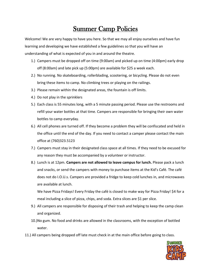### Summer Camp Policies

Welcome! We are very happy to have you here. So that we may all enjoy ourselves and have fun learning and developing we have established a few guidelines so that you will have an understanding of what is expected of you in and around the theatre.

- 1.) Campers must be dropped off on time (9:00am) and picked up on time (4:00pm) early drop off (8:00am) and late pick up (5:00pm) are available for \$25 a week each.
- 2.) No running. No skateboarding, rollerblading, scootering, or bicycling. Please do not even bring these items to camp. No climbing trees or playing on the railings.
- 3.) Please remain within the designated areas, the fountain is off limits.
- 4.) Do not play in the sprinklers
- 5.) Each class is 55 minutes long, with a 5 minute passing period. Please use the restrooms and refill your water bottles at that time. Campers are responsible for bringing their own water bottles to camp everyday.
- 6.) All cell phones are turned off. If they become a problem they will be confiscated and held in the office until the end of the day. If you need to contact a camper please contact the main office at (760)323.5123
- 7.) Campers must stay in their designated class space at all times. If they need to be excused for any reason they must be accompanied by a volunteer or instructor.
- 8.) Lunch is at 12pm. **Campers are not allowed to leave campus for lunch.** Please pack a lunch and snacks, or send the campers with money to purchase items at the Kid's Café. The café does not do I.O.U.s. Campers are provided a fridge to keep cold lunches in, and microwaves are available at lunch.

We have Pizza Fridays! Every Friday the café is closed to make way for Pizza Friday! \$4 for a meal including a slice of pizza, chips, and soda. Extra slices are \$1 per slice.

- 9.) All campers are responsible for disposing of their trash and helping to keep the camp clean and organized.
- 10.)No gum. No food and drinks are allowed in the classrooms, with the exception of bottled water.
- 11.) All campers being dropped off late must check in at the main office before going to class.

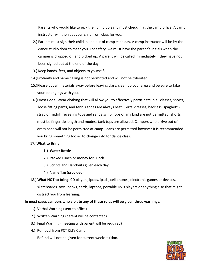Parents who would like to pick their child up early must check in at the camp office. A camp instructor will then get your child from class for you.

- 12.) Parents must sign their child in and out of camp each day. A camp instructor will be by the dance studio door to meet you. For safety, we must have the parent's initials when the camper is dropped off and picked up. A parent will be called immediately if they have not been signed out at the end of the day.
- 13.) Keep hands, feet, and objects to yourself.
- 14.)Profanity and name calling is not permitted and will not be tolerated.
- 15.)Please put all materials away before leaving class, clean up your area and be sure to take your belongings with you.
- 16.)**Dress Code:** Wear clothing that will allow you to effectively participate in all classes, shorts, loose fitting pants, and tennis shoes are always best. Skirts, dresses, backless, spaghettistrap or midriff revealing tops and sandals/flip flops of any kind are not permitted. Shorts must be finger tip length and modest tank tops are allowed. Campers who arrive out of dress code will not be permitted at camp. Jeans are permitted however it is recommended you bring something looser to change into for dance class.

#### 17.)**What to Bring:**

#### **1.) Water Bottle**

- 2.) Packed Lunch or money for Lunch
- 3.) Scripts and Handouts given each day
- 4.) Name Tag (provided)
- 18.) **What NOT to bring:** CD players, ipods, ipads, cell phones, electronic games or devices, skateboards, toys, books, cards, laptops, portable DVD players or anything else that might distract you from learning.

#### **In most cases campers who violate any of these rules will be given three warnings.**

- 1.) Verbal Warning (sent to office)
- 2.) Written Warning (parent will be contacted)
- 3.) Final Warning (meeting with parent will be required)
- 4.) Removal from PCT Kid's Camp

Refund will not be given for current weeks tuition.

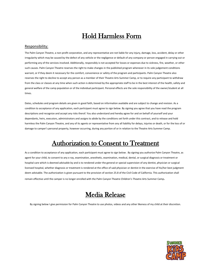### Hold Harmless Form

#### Responsibility:

The Palm Canyon Theatre, a non-profit corporation, and any representative are not liable for any injury, damage, loss, accident, delay or other irregularity which may be caused by the defect of any vehicle or the negligence or default of any company or person engaged in carrying out or performing any of the services involved. Additionally, responsibly is not accepted for losses or expenses due to sickness, fire, weather, or other such causes. Palm Canyon Theatre reserves the right to make changes in the published program whenever in its sole judgement conditions warrant, or if they deem it necessary for the comfort, convenience or safety of the program and participants. Palm Canyon Theatre also reserves the right to decline to accept any person as a member of their Theatre Arts Summer Camp, or to require any participant to withdraw from the class or classes at any time when such action is determined by the appropriate staff to be in the best interest of the health, safety and general welfare of the camp population or of the individual participant. Personal effects are the sole responsibility of the owner/student at all times.

Dates, schedules and program details are given in good faith, based on information available and are subject to change and revision. As a condition to acceptance of any application, each participant must agree to sign below. By signing you agree that you have read the program descriptions and recognize and accept any risks therof. You also understand and hereby agree for and on behalf of yourself and your dependants, heirs, executors, administrators and assigns to abide by the conditions set forth under this contract, and to release and hold harmless the Palm Canyon Theatre, and any of its agents or representative from any all liability for delays, injuries or death, or for the loss of or damage to camper's personal property, however occurring, during any portion of or in relation to the Theatre Arts Summer Camp.

### Authorization to Consent to Treatment

As a condition to acceptance of any application, each participant must agree to sign below . By signing you authorize Palm Canyon Theatre, as agent for your child, to consent to any x-ray, examination, anesthetic, examination, medical, dental, or surgical diagnosis or treatment or hospital care which is deemed advisable by and is to rendered under the general or special supervision of any dentist, physician or surgical licensed hospital, whether diagnosis or treatment is rendered at the office of said physician or dentist in the exercise of his/her best judgment deem advisable. The authorization is given pursuant to the provision of section 25.8 of the Civil Code of California. This authorization shall remain effective until the camper is no longer enrolled with the Palm Canyon Theatre Children's Theatre Arts Summer Camp.

### Media Release

By signing below I give permission for Palm Canyon Theatre to use photos, videos and any other likeness of my child at their discretion.

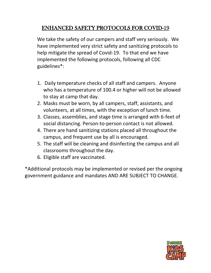### ENHANCED SAFETY PROTOCOLS FOR COVID-19

We take the safety of our campers and staff very seriously. We have implemented very strict safety and sanitizing protocols to help mitigate the spread of Covid-19. To that end we have implemented the following protocols, following all CDC guidelines\*:

- 1. Daily temperature checks of all staff and campers. Anyone who has a temperature of 100.4 or higher will not be allowed to stay at camp that day.
- 2. Masks must be worn, by all campers, staff, assistants, and volunteers, at all times, with the exception of lunch time.
- 3. Classes, assemblies, and stage time is arranged with 6-feet of social distancing. Person-to-person contact is not allowed.
- 4. There are hand sanitizing stations placed all throughout the campus, and frequent use by all is encouraged.
- 5. The staff will be cleaning and disinfecting the campus and all classrooms throughout the day.
- 6. Eligible staff are vaccinated.

\*Additional protocols may be implemented or revised per the ongoing government guidance and mandates AND ARE SUBJECT TO CHANGE.